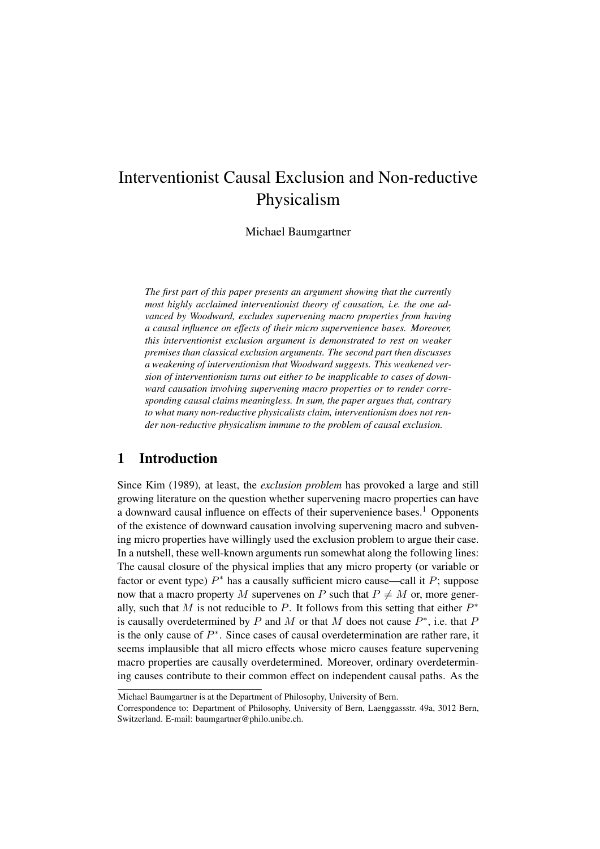# Interventionist Causal Exclusion and Non-reductive Physicalism

Michael Baumgartner

*The first part of this paper presents an argument showing that the currently most highly acclaimed interventionist theory of causation, i.e. the one advanced by Woodward, excludes supervening macro properties from having a causal influence on effects of their micro supervenience bases. Moreover, this interventionist exclusion argument is demonstrated to rest on weaker premises than classical exclusion arguments. The second part then discusses a weakening of interventionism that Woodward suggests. This weakened version of interventionism turns out either to be inapplicable to cases of downward causation involving supervening macro properties or to render corresponding causal claims meaningless. In sum, the paper argues that, contrary to what many non-reductive physicalists claim, interventionism does not render non-reductive physicalism immune to the problem of causal exclusion.*

## 1 Introduction

Since Kim (1989), at least, the *exclusion problem* has provoked a large and still growing literature on the question whether supervening macro properties can have a downward causal influence on effects of their supervenience bases.<sup>1</sup> Opponents of the existence of downward causation involving supervening macro and subvening micro properties have willingly used the exclusion problem to argue their case. In a nutshell, these well-known arguments run somewhat along the following lines: The causal closure of the physical implies that any micro property (or variable or factor or event type)  $P^*$  has a causally sufficient micro cause—call it  $P$ ; suppose now that a macro property M supervenes on P such that  $P \neq M$  or, more generally, such that M is not reducible to P. It follows from this setting that either  $P^*$ is causally overdetermined by P and M or that M does not cause  $P^*$ , i.e. that F is the only cause of  $P^*$ . Since cases of causal overdetermination are rather rare, it seems implausible that all micro effects whose micro causes feature supervening macro properties are causally overdetermined. Moreover, ordinary overdetermining causes contribute to their common effect on independent causal paths. As the

Michael Baumgartner is at the Department of Philosophy, University of Bern.

Correspondence to: Department of Philosophy, University of Bern, Laenggassstr. 49a, 3012 Bern, Switzerland. E-mail: baumgartner@philo.unibe.ch.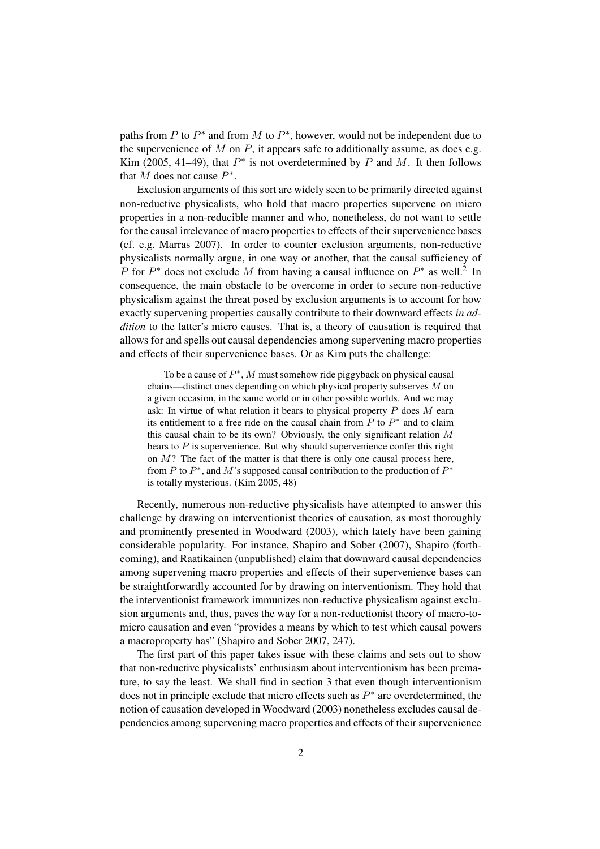paths from P to  $P^*$  and from M to  $P^*$ , however, would not be independent due to the supervenience of  $M$  on  $P$ , it appears safe to additionally assume, as does e.g. Kim (2005, 41–49), that  $P^*$  is not overdetermined by P and M. It then follows that M does not cause  $P^*$ .

Exclusion arguments of this sort are widely seen to be primarily directed against non-reductive physicalists, who hold that macro properties supervene on micro properties in a non-reducible manner and who, nonetheless, do not want to settle for the causal irrelevance of macro properties to effects of their supervenience bases (cf. e.g. Marras 2007). In order to counter exclusion arguments, non-reductive physicalists normally argue, in one way or another, that the causal sufficiency of P for  $P^*$  does not exclude M from having a causal influence on  $P^*$  as well.<sup>2</sup> In consequence, the main obstacle to be overcome in order to secure non-reductive physicalism against the threat posed by exclusion arguments is to account for how exactly supervening properties causally contribute to their downward effects *in addition* to the latter's micro causes. That is, a theory of causation is required that allows for and spells out causal dependencies among supervening macro properties and effects of their supervenience bases. Or as Kim puts the challenge:

To be a cause of  $P^*$ , M must somehow ride piggyback on physical causal chains—distinct ones depending on which physical property subserves M on a given occasion, in the same world or in other possible worlds. And we may ask: In virtue of what relation it bears to physical property  $P$  does  $M$  earn its entitlement to a free ride on the causal chain from  $P$  to  $P^*$  and to claim this causal chain to be its own? Obviously, the only significant relation  $M$ bears to  $P$  is supervenience. But why should supervenience confer this right on  $M$ ? The fact of the matter is that there is only one causal process here, from  $P$  to  $P^*$ , and  $M$ 's supposed causal contribution to the production of  $P^*$ is totally mysterious. (Kim 2005, 48)

Recently, numerous non-reductive physicalists have attempted to answer this challenge by drawing on interventionist theories of causation, as most thoroughly and prominently presented in Woodward (2003), which lately have been gaining considerable popularity. For instance, Shapiro and Sober (2007), Shapiro (forthcoming), and Raatikainen (unpublished) claim that downward causal dependencies among supervening macro properties and effects of their supervenience bases can be straightforwardly accounted for by drawing on interventionism. They hold that the interventionist framework immunizes non-reductive physicalism against exclusion arguments and, thus, paves the way for a non-reductionist theory of macro-tomicro causation and even "provides a means by which to test which causal powers a macroproperty has" (Shapiro and Sober 2007, 247).

The first part of this paper takes issue with these claims and sets out to show that non-reductive physicalists' enthusiasm about interventionism has been premature, to say the least. We shall find in section 3 that even though interventionism does not in principle exclude that micro effects such as  $P^*$  are overdetermined, the notion of causation developed in Woodward (2003) nonetheless excludes causal dependencies among supervening macro properties and effects of their supervenience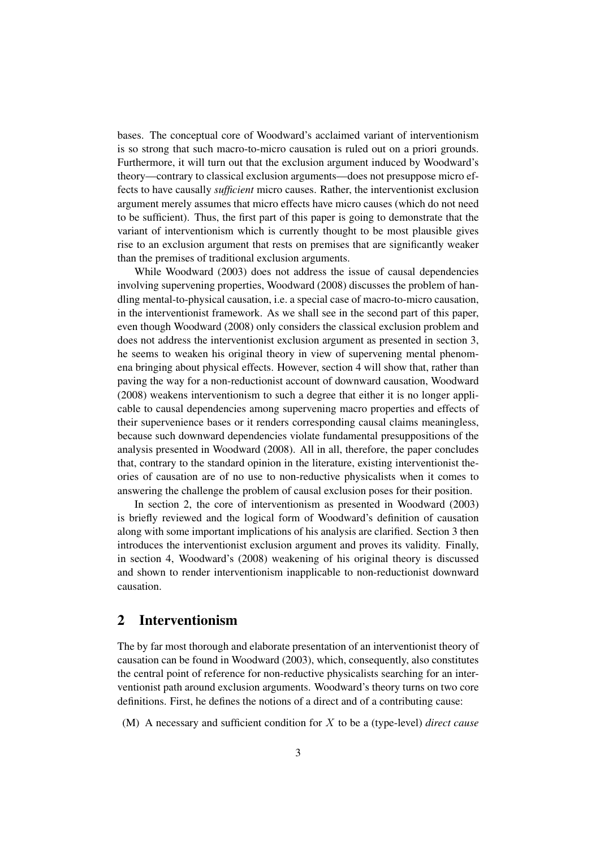bases. The conceptual core of Woodward's acclaimed variant of interventionism is so strong that such macro-to-micro causation is ruled out on a priori grounds. Furthermore, it will turn out that the exclusion argument induced by Woodward's theory—contrary to classical exclusion arguments—does not presuppose micro effects to have causally *sufficient* micro causes. Rather, the interventionist exclusion argument merely assumes that micro effects have micro causes (which do not need to be sufficient). Thus, the first part of this paper is going to demonstrate that the variant of interventionism which is currently thought to be most plausible gives rise to an exclusion argument that rests on premises that are significantly weaker than the premises of traditional exclusion arguments.

While Woodward (2003) does not address the issue of causal dependencies involving supervening properties, Woodward (2008) discusses the problem of handling mental-to-physical causation, i.e. a special case of macro-to-micro causation, in the interventionist framework. As we shall see in the second part of this paper, even though Woodward (2008) only considers the classical exclusion problem and does not address the interventionist exclusion argument as presented in section 3, he seems to weaken his original theory in view of supervening mental phenomena bringing about physical effects. However, section 4 will show that, rather than paving the way for a non-reductionist account of downward causation, Woodward (2008) weakens interventionism to such a degree that either it is no longer applicable to causal dependencies among supervening macro properties and effects of their supervenience bases or it renders corresponding causal claims meaningless, because such downward dependencies violate fundamental presuppositions of the analysis presented in Woodward (2008). All in all, therefore, the paper concludes that, contrary to the standard opinion in the literature, existing interventionist theories of causation are of no use to non-reductive physicalists when it comes to answering the challenge the problem of causal exclusion poses for their position.

In section 2, the core of interventionism as presented in Woodward (2003) is briefly reviewed and the logical form of Woodward's definition of causation along with some important implications of his analysis are clarified. Section 3 then introduces the interventionist exclusion argument and proves its validity. Finally, in section 4, Woodward's (2008) weakening of his original theory is discussed and shown to render interventionism inapplicable to non-reductionist downward causation.

### 2 Interventionism

The by far most thorough and elaborate presentation of an interventionist theory of causation can be found in Woodward (2003), which, consequently, also constitutes the central point of reference for non-reductive physicalists searching for an interventionist path around exclusion arguments. Woodward's theory turns on two core definitions. First, he defines the notions of a direct and of a contributing cause:

(M) A necessary and sufficient condition for X to be a (type-level) *direct cause*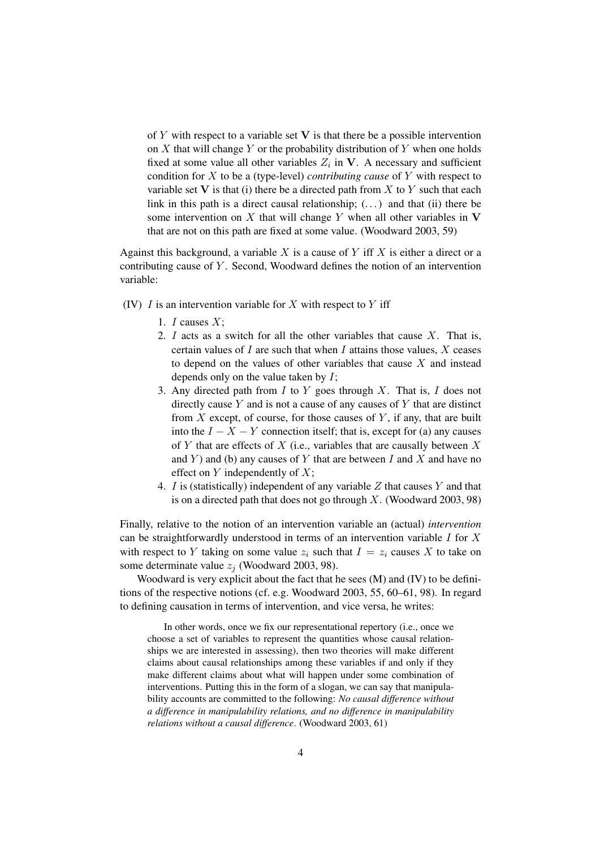of Y with respect to a variable set  $V$  is that there be a possible intervention on  $X$  that will change  $Y$  or the probability distribution of  $Y$  when one holds fixed at some value all other variables  $Z_i$  in V. A necessary and sufficient condition for X to be a (type-level) *contributing cause* of Y with respect to variable set V is that (i) there be a directed path from X to Y such that each link in this path is a direct causal relationship;  $(...)$  and that (ii) there be some intervention on X that will change Y when all other variables in  $V$ that are not on this path are fixed at some value. (Woodward 2003, 59)

Against this background, a variable  $X$  is a cause of  $Y$  iff  $X$  is either a direct or a contributing cause of  $Y$ . Second, Woodward defines the notion of an intervention variable:

- (IV)  $I$  is an intervention variable for  $X$  with respect to  $Y$  iff
	- 1.  $I$  causes  $X$ ;
	- 2. I acts as a switch for all the other variables that cause  $X$ . That is, certain values of  $I$  are such that when  $I$  attains those values,  $X$  ceases to depend on the values of other variables that cause  $X$  and instead depends only on the value taken by  $I$ ;
	- 3. Any directed path from  $I$  to  $Y$  goes through  $X$ . That is,  $I$  does not directly cause  $Y$  and is not a cause of any causes of  $Y$  that are distinct from  $X$  except, of course, for those causes of  $Y$ , if any, that are built into the  $I - X - Y$  connection itself; that is, except for (a) any causes of Y that are effects of X (i.e., variables that are causally between  $X$ and Y) and (b) any causes of Y that are between I and X and have no effect on  $Y$  independently of  $X$ ;
	- 4. I is (statistically) independent of any variable  $Z$  that causes  $Y$  and that is on a directed path that does not go through  $X$ . (Woodward 2003, 98)

Finally, relative to the notion of an intervention variable an (actual) *intervention* can be straightforwardly understood in terms of an intervention variable  $I$  for  $X$ with respect to Y taking on some value  $z_i$  such that  $I = z_i$  causes X to take on some determinate value  $z_i$  (Woodward 2003, 98).

Woodward is very explicit about the fact that he sees (M) and (IV) to be definitions of the respective notions (cf. e.g. Woodward 2003, 55, 60–61, 98). In regard to defining causation in terms of intervention, and vice versa, he writes:

In other words, once we fix our representational repertory (i.e., once we choose a set of variables to represent the quantities whose causal relationships we are interested in assessing), then two theories will make different claims about causal relationships among these variables if and only if they make different claims about what will happen under some combination of interventions. Putting this in the form of a slogan, we can say that manipulability accounts are committed to the following: *No causal difference without a difference in manipulability relations, and no difference in manipulability relations without a causal difference*. (Woodward 2003, 61)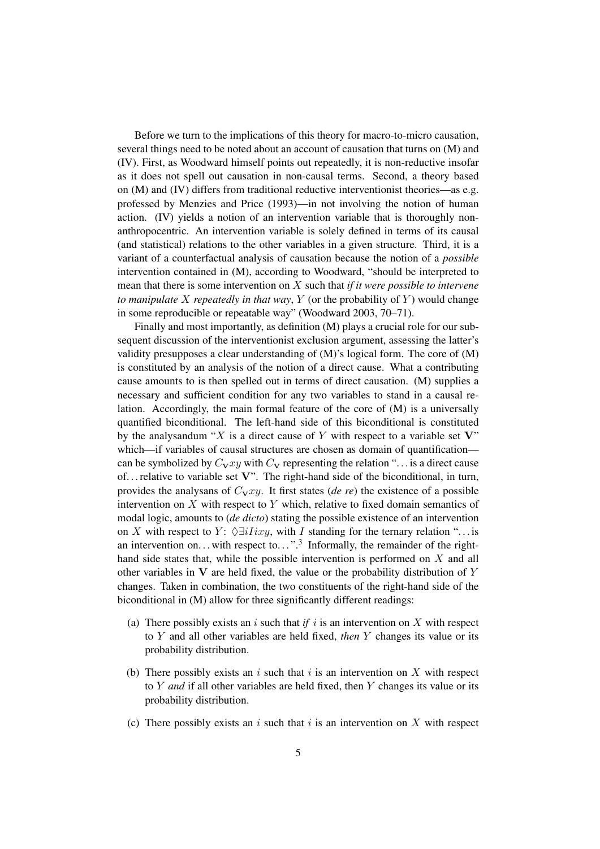Before we turn to the implications of this theory for macro-to-micro causation, several things need to be noted about an account of causation that turns on (M) and (IV). First, as Woodward himself points out repeatedly, it is non-reductive insofar as it does not spell out causation in non-causal terms. Second, a theory based on (M) and (IV) differs from traditional reductive interventionist theories—as e.g. professed by Menzies and Price (1993)—in not involving the notion of human action. (IV) yields a notion of an intervention variable that is thoroughly nonanthropocentric. An intervention variable is solely defined in terms of its causal (and statistical) relations to the other variables in a given structure. Third, it is a variant of a counterfactual analysis of causation because the notion of a *possible* intervention contained in (M), according to Woodward, "should be interpreted to mean that there is some intervention on X such that *if it were possible to intervene to manipulate* X *repeatedly in that way*, Y (or the probability of Y ) would change in some reproducible or repeatable way" (Woodward 2003, 70–71).

Finally and most importantly, as definition (M) plays a crucial role for our subsequent discussion of the interventionist exclusion argument, assessing the latter's validity presupposes a clear understanding of (M)'s logical form. The core of (M) is constituted by an analysis of the notion of a direct cause. What a contributing cause amounts to is then spelled out in terms of direct causation. (M) supplies a necessary and sufficient condition for any two variables to stand in a causal relation. Accordingly, the main formal feature of the core of (M) is a universally quantified biconditional. The left-hand side of this biconditional is constituted by the analysandum "X is a direct cause of Y with respect to a variable set  $V$ " which—if variables of causal structures are chosen as domain of quantification can be symbolized by  $C_{\mathbf{V}}xy$  with  $C_{\mathbf{V}}$  representing the relation "... is a direct cause of... relative to variable set  $V$ ". The right-hand side of the biconditional, in turn, provides the analysans of  $C_{\mathbf{V}}xy$ . It first states (*de re*) the existence of a possible intervention on  $X$  with respect to  $Y$  which, relative to fixed domain semantics of modal logic, amounts to (*de dicto*) stating the possible existence of an intervention on X with respect to Y:  $\Diamond \exists i Iixy$ , with I standing for the ternary relation "... is an intervention on... with respect to..."<sup>3</sup> Informally, the remainder of the righthand side states that, while the possible intervention is performed on  $X$  and all other variables in  $V$  are held fixed, the value or the probability distribution of  $Y$ changes. Taken in combination, the two constituents of the right-hand side of the biconditional in (M) allow for three significantly different readings:

- (a) There possibly exists an  $i$  such that  $if$   $i$  is an intervention on  $X$  with respect to Y and all other variables are held fixed, *then* Y changes its value or its probability distribution.
- (b) There possibly exists an i such that i is an intervention on X with respect to Y *and* if all other variables are held fixed, then Y changes its value or its probability distribution.
- (c) There possibly exists an i such that i is an intervention on X with respect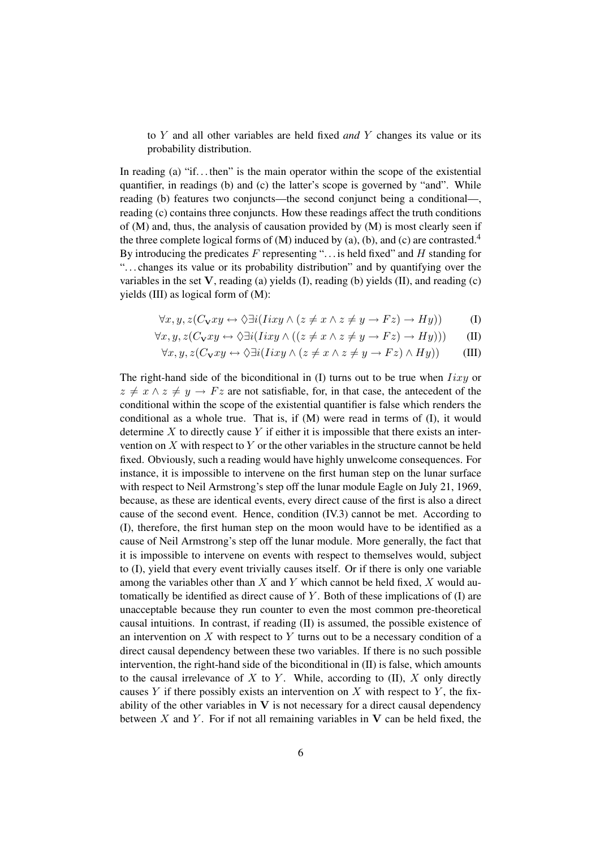to Y and all other variables are held fixed *and* Y changes its value or its probability distribution.

In reading (a) "if... then" is the main operator within the scope of the existential quantifier, in readings (b) and (c) the latter's scope is governed by "and". While reading (b) features two conjuncts—the second conjunct being a conditional—, reading (c) contains three conjuncts. How these readings affect the truth conditions of (M) and, thus, the analysis of causation provided by (M) is most clearly seen if the three complete logical forms of  $(M)$  induced by  $(a)$ ,  $(b)$ , and  $(c)$  are contrasted.<sup>4</sup> By introducing the predicates  $F$  representing "... is held fixed" and  $H$  standing for ". . . changes its value or its probability distribution" and by quantifying over the variables in the set  $V$ , reading (a) yields (I), reading (b) yields (II), and reading (c) yields (III) as logical form of (M):

$$
\forall x, y, z (C_{\mathbf{V}} xy \leftrightarrow \Diamond \exists i (Iixy \land (z \neq x \land z \neq y \rightarrow Fz) \rightarrow Hy))
$$
 (I)

$$
\forall x, y, z(C_{\mathbf{V}} xy \leftrightarrow \Diamond \exists i (Iixy \land ((z \neq x \land z \neq y \rightarrow Fz) \rightarrow Hy))) \tag{II}
$$

$$
\forall x, y, z(C_{\mathbf{V}}xy \leftrightarrow \Diamond \exists i (Iixy \land (z \neq x \land z \neq y \rightarrow Fz) \land Hy))
$$
 (III)

The right-hand side of the biconditional in  $(I)$  turns out to be true when  $Iixy$  or  $z \neq x \wedge z \neq y \rightarrow Fz$  are not satisfiable, for, in that case, the antecedent of the conditional within the scope of the existential quantifier is false which renders the conditional as a whole true. That is, if (M) were read in terms of (I), it would determine  $X$  to directly cause  $Y$  if either it is impossible that there exists an intervention on  $X$  with respect to  $Y$  or the other variables in the structure cannot be held fixed. Obviously, such a reading would have highly unwelcome consequences. For instance, it is impossible to intervene on the first human step on the lunar surface with respect to Neil Armstrong's step off the lunar module Eagle on July 21, 1969, because, as these are identical events, every direct cause of the first is also a direct cause of the second event. Hence, condition (IV.3) cannot be met. According to (I), therefore, the first human step on the moon would have to be identified as a cause of Neil Armstrong's step off the lunar module. More generally, the fact that it is impossible to intervene on events with respect to themselves would, subject to (I), yield that every event trivially causes itself. Or if there is only one variable among the variables other than X and Y which cannot be held fixed, X would automatically be identified as direct cause of  $Y$ . Both of these implications of  $(I)$  are unacceptable because they run counter to even the most common pre-theoretical causal intuitions. In contrast, if reading (II) is assumed, the possible existence of an intervention on  $X$  with respect to  $Y$  turns out to be a necessary condition of a direct causal dependency between these two variables. If there is no such possible intervention, the right-hand side of the biconditional in (II) is false, which amounts to the causal irrelevance of  $X$  to  $Y$ . While, according to  $(II)$ ,  $X$  only directly causes Y if there possibly exists an intervention on X with respect to Y, the fixability of the other variables in  $V$  is not necessary for a direct causal dependency between  $X$  and  $Y$ . For if not all remaining variables in  $V$  can be held fixed, the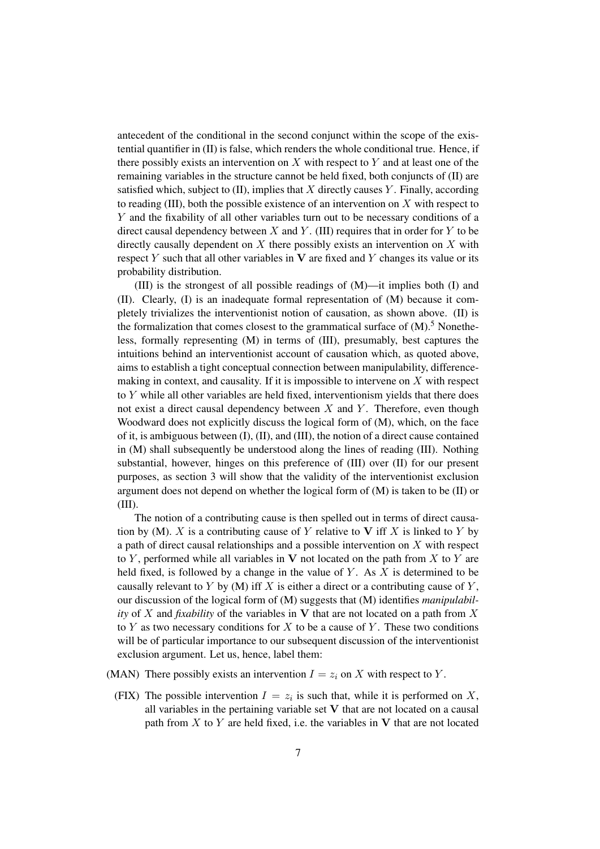antecedent of the conditional in the second conjunct within the scope of the existential quantifier in (II) is false, which renders the whole conditional true. Hence, if there possibly exists an intervention on  $X$  with respect to  $Y$  and at least one of the remaining variables in the structure cannot be held fixed, both conjuncts of (II) are satisfied which, subject to  $(II)$ , implies that X directly causes Y. Finally, according to reading (III), both the possible existence of an intervention on  $X$  with respect to Y and the fixability of all other variables turn out to be necessary conditions of a direct causal dependency between  $X$  and  $Y$ . (III) requires that in order for  $Y$  to be directly causally dependent on  $X$  there possibly exists an intervention on  $X$  with respect  $Y$  such that all other variables in  $V$  are fixed and  $Y$  changes its value or its probability distribution.

(III) is the strongest of all possible readings of (M)—it implies both (I) and (II). Clearly, (I) is an inadequate formal representation of (M) because it completely trivializes the interventionist notion of causation, as shown above. (II) is the formalization that comes closest to the grammatical surface of  $(M)$ .<sup>5</sup> Nonetheless, formally representing (M) in terms of (III), presumably, best captures the intuitions behind an interventionist account of causation which, as quoted above, aims to establish a tight conceptual connection between manipulability, differencemaking in context, and causality. If it is impossible to intervene on  $X$  with respect to Y while all other variables are held fixed, interventionism yields that there does not exist a direct causal dependency between  $X$  and  $Y$ . Therefore, even though Woodward does not explicitly discuss the logical form of (M), which, on the face of it, is ambiguous between (I), (II), and (III), the notion of a direct cause contained in (M) shall subsequently be understood along the lines of reading (III). Nothing substantial, however, hinges on this preference of (III) over (II) for our present purposes, as section 3 will show that the validity of the interventionist exclusion argument does not depend on whether the logical form of (M) is taken to be (II) or (III).

The notion of a contributing cause is then spelled out in terms of direct causation by (M). X is a contributing cause of Y relative to V iff X is linked to Y by a path of direct causal relationships and a possible intervention on X with respect to Y, performed while all variables in V not located on the path from  $X$  to Y are held fixed, is followed by a change in the value of  $Y$ . As  $X$  is determined to be causally relevant to Y by  $(M)$  iff X is either a direct or a contributing cause of Y, our discussion of the logical form of (M) suggests that (M) identifies *manipulability* of X and *fixability* of the variables in V that are not located on a path from X to  $Y$  as two necessary conditions for  $X$  to be a cause of  $Y$ . These two conditions will be of particular importance to our subsequent discussion of the interventionist exclusion argument. Let us, hence, label them:

- (MAN) There possibly exists an intervention  $I = z_i$  on X with respect to Y.
	- (FIX) The possible intervention  $I = z_i$  is such that, while it is performed on X, all variables in the pertaining variable set V that are not located on a causal path from  $X$  to  $Y$  are held fixed, i.e. the variables in  $V$  that are not located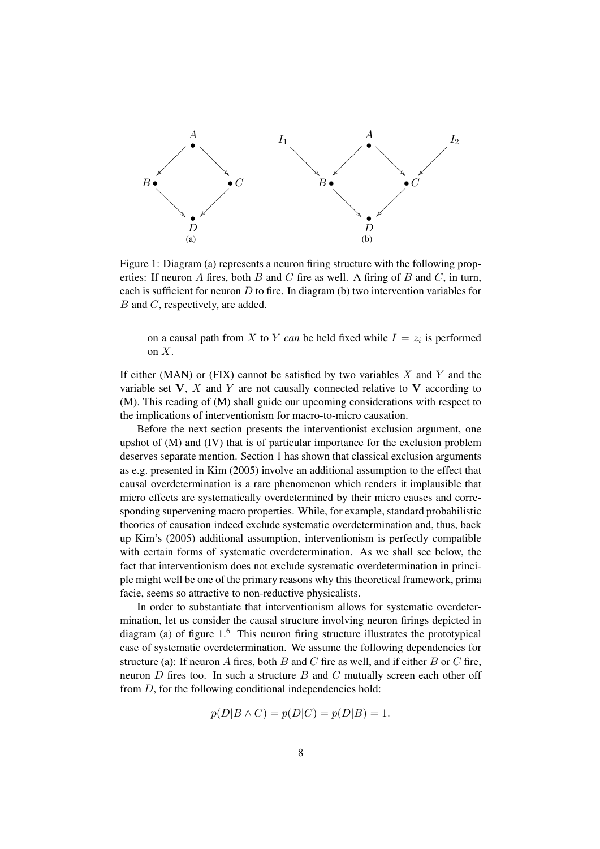

Figure 1: Diagram (a) represents a neuron firing structure with the following properties: If neuron  $A$  fires, both  $B$  and  $C$  fire as well. A firing of  $B$  and  $C$ , in turn, each is sufficient for neuron  $D$  to fire. In diagram (b) two intervention variables for B and C, respectively, are added.

on a causal path from X to Y *can* be held fixed while  $I = z_i$  is performed on  $X$ .

If either (MAN) or (FIX) cannot be satisfied by two variables  $X$  and  $Y$  and the variable set  $V$ ,  $X$  and  $Y$  are not causally connected relative to  $V$  according to (M). This reading of (M) shall guide our upcoming considerations with respect to the implications of interventionism for macro-to-micro causation.

Before the next section presents the interventionist exclusion argument, one upshot of (M) and (IV) that is of particular importance for the exclusion problem deserves separate mention. Section 1 has shown that classical exclusion arguments as e.g. presented in Kim (2005) involve an additional assumption to the effect that causal overdetermination is a rare phenomenon which renders it implausible that micro effects are systematically overdetermined by their micro causes and corresponding supervening macro properties. While, for example, standard probabilistic theories of causation indeed exclude systematic overdetermination and, thus, back up Kim's (2005) additional assumption, interventionism is perfectly compatible with certain forms of systematic overdetermination. As we shall see below, the fact that interventionism does not exclude systematic overdetermination in principle might well be one of the primary reasons why this theoretical framework, prima facie, seems so attractive to non-reductive physicalists.

In order to substantiate that interventionism allows for systematic overdetermination, let us consider the causal structure involving neuron firings depicted in diagram (a) of figure 1.<sup>6</sup> This neuron firing structure illustrates the prototypical case of systematic overdetermination. We assume the following dependencies for structure (a): If neuron A fires, both B and C fire as well, and if either B or C fire, neuron  $D$  fires too. In such a structure  $B$  and  $C$  mutually screen each other off from  $D$ , for the following conditional independencies hold:

$$
p(D|B \wedge C) = p(D|C) = p(D|B) = 1.
$$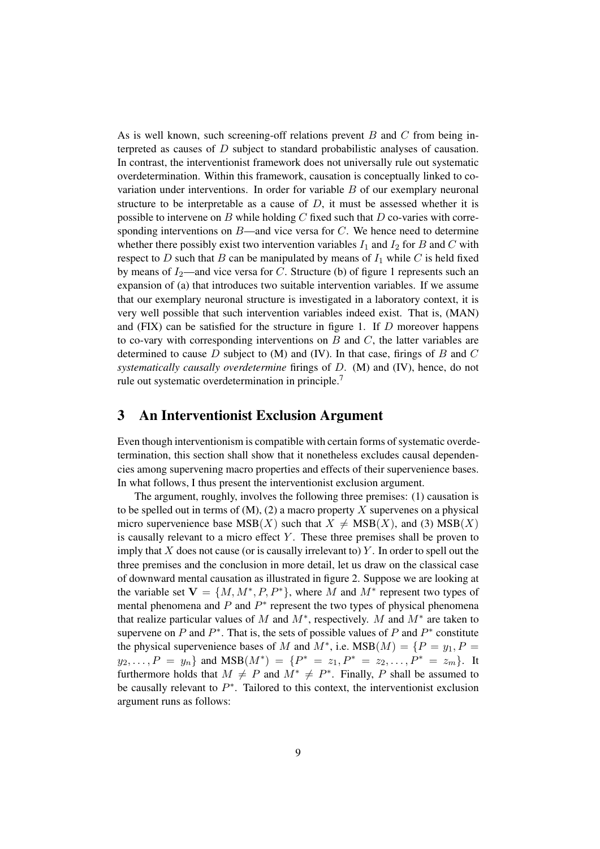As is well known, such screening-off relations prevent  $B$  and  $C$  from being interpreted as causes of D subject to standard probabilistic analyses of causation. In contrast, the interventionist framework does not universally rule out systematic overdetermination. Within this framework, causation is conceptually linked to covariation under interventions. In order for variable B of our exemplary neuronal structure to be interpretable as a cause of  $D$ , it must be assessed whether it is possible to intervene on B while holding C fixed such that D co-varies with corresponding interventions on  $B$ —and vice versa for  $C$ . We hence need to determine whether there possibly exist two intervention variables  $I_1$  and  $I_2$  for B and C with respect to  $D$  such that  $B$  can be manipulated by means of  $I_1$  while  $C$  is held fixed by means of  $I_2$ —and vice versa for C. Structure (b) of figure 1 represents such an expansion of (a) that introduces two suitable intervention variables. If we assume that our exemplary neuronal structure is investigated in a laboratory context, it is very well possible that such intervention variables indeed exist. That is, (MAN) and  $(FIX)$  can be satisfied for the structure in figure 1. If  $D$  moreover happens to co-vary with corresponding interventions on  $B$  and  $C$ , the latter variables are determined to cause  $D$  subject to  $(M)$  and  $(IV)$ . In that case, firings of  $B$  and  $C$ *systematically causally overdetermine* firings of D. (M) and (IV), hence, do not rule out systematic overdetermination in principle.<sup>7</sup>

#### 3 An Interventionist Exclusion Argument

Even though interventionism is compatible with certain forms of systematic overdetermination, this section shall show that it nonetheless excludes causal dependencies among supervening macro properties and effects of their supervenience bases. In what follows, I thus present the interventionist exclusion argument.

The argument, roughly, involves the following three premises: (1) causation is to be spelled out in terms of  $(M)$ ,  $(2)$  a macro property X supervenes on a physical micro supervenience base  $MSB(X)$  such that  $X \neq MSB(X)$ , and (3)  $MSB(X)$ is causally relevant to a micro effect  $Y$ . These three premises shall be proven to imply that X does not cause (or is causally irrelevant to) Y. In order to spell out the three premises and the conclusion in more detail, let us draw on the classical case of downward mental causation as illustrated in figure 2. Suppose we are looking at the variable set  $V = \{M, M^*, P, P^*\}$ , where M and  $M^*$  represent two types of mental phenomena and  $P$  and  $P^*$  represent the two types of physical phenomena that realize particular values of M and  $M^*$ , respectively. M and  $M^*$  are taken to supervene on  $P$  and  $P^*$ . That is, the sets of possible values of  $P$  and  $P^*$  constitute the physical supervenience bases of M and  $M^*$ , i.e.  $MSB(M) = \{P = y_1, P =$  $y_2, \ldots, P = y_n$  and  $MSB(M^*) = \{P^* = z_1, P^* = z_2, \ldots, P^* = z_m\}.$  It furthermore holds that  $M \neq P$  and  $M^* \neq P^*$ . Finally, P shall be assumed to be causally relevant to  $P^*$ . Tailored to this context, the interventionist exclusion argument runs as follows: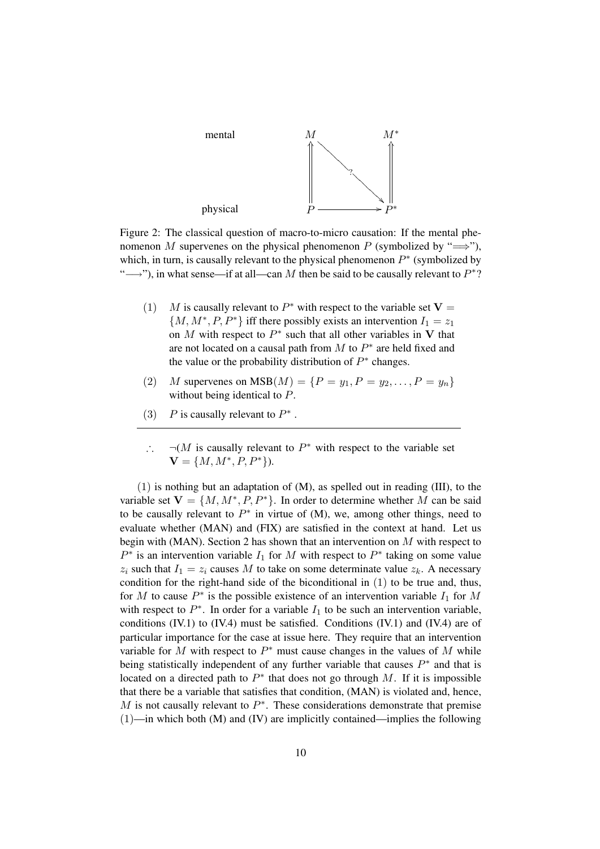

Figure 2: The classical question of macro-to-micro causation: If the mental phenomenon M supervenes on the physical phenomenon P (symbolized by " $\Longrightarrow$ "), which, in turn, is causally relevant to the physical phenomenon  $P^*$  (symbolized by "
→"), in what sense—if at all—can M then be said to be causally relevant to  $P^*$ ?

- (1) M is causally relevant to  $P^*$  with respect to the variable set  $V =$  $\{M, M^*, P, P^*\}\$ iff there possibly exists an intervention  $I_1 = z_1$ on M with respect to  $P^*$  such that all other variables in V that are not located on a causal path from  $M$  to  $P^*$  are held fixed and the value or the probability distribution of  $P^*$  changes.
- (2) *M* supervenes on  $MSB(M) = \{P = y_1, P = y_2, ..., P = y_n\}$ without being identical to P.
- (3) *P* is causally relevant to  $P^*$ .
- $\therefore$   $\neg(M$  is causally relevant to  $P^*$  with respect to the variable set  $V = \{M, M^*, P, P^*\}.$

(1) is nothing but an adaptation of (M), as spelled out in reading (III), to the variable set  $V = \{M, M^*, P, P^*\}$ . In order to determine whether M can be said to be causally relevant to  $P^*$  in virtue of (M), we, among other things, need to evaluate whether (MAN) and (FIX) are satisfied in the context at hand. Let us begin with (MAN). Section 2 has shown that an intervention on  $M$  with respect to  $P^*$  is an intervention variable  $I_1$  for M with respect to  $P^*$  taking on some value  $z_i$  such that  $I_1 = z_i$  causes M to take on some determinate value  $z_k$ . A necessary condition for the right-hand side of the biconditional in (1) to be true and, thus, for M to cause  $P^*$  is the possible existence of an intervention variable  $I_1$  for M with respect to  $P^*$ . In order for a variable  $I_1$  to be such an intervention variable, conditions  $(IV.1)$  to  $(IV.4)$  must be satisfied. Conditions  $(IV.1)$  and  $(IV.4)$  are of particular importance for the case at issue here. They require that an intervention variable for M with respect to  $P^*$  must cause changes in the values of M while being statistically independent of any further variable that causes  $P^*$  and that is located on a directed path to  $P^*$  that does not go through M. If it is impossible that there be a variable that satisfies that condition, (MAN) is violated and, hence, M is not causally relevant to  $P^*$ . These considerations demonstrate that premise  $(1)$ —in which both  $(M)$  and  $(IV)$  are implicitly contained—implies the following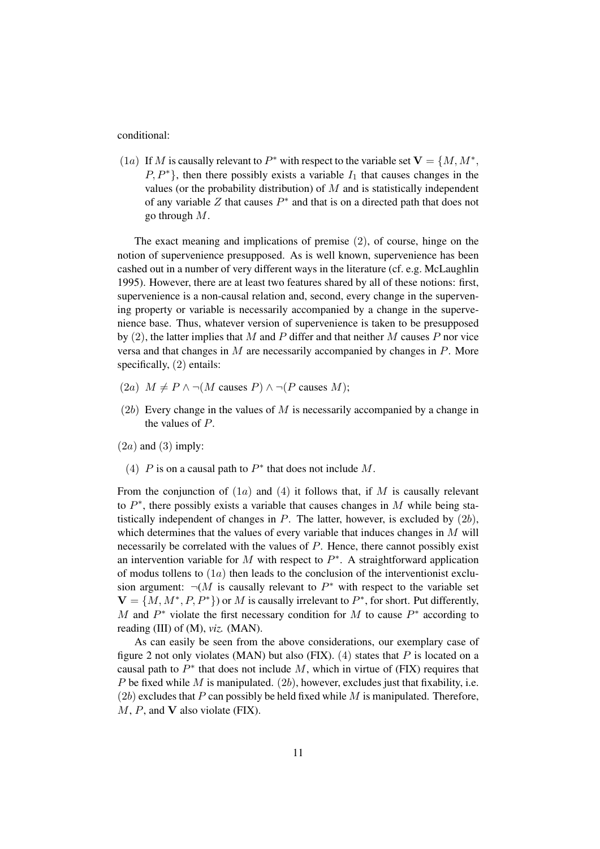conditional:

(1a) If M is causally relevant to  $P^*$  with respect to the variable set  $V = \{M, M^*,\}$  $P, P^*$ , then there possibly exists a variable  $I_1$  that causes changes in the values (or the probability distribution) of  $M$  and is statistically independent of any variable  $Z$  that causes  $P^*$  and that is on a directed path that does not go through M.

The exact meaning and implications of premise (2), of course, hinge on the notion of supervenience presupposed. As is well known, supervenience has been cashed out in a number of very different ways in the literature (cf. e.g. McLaughlin 1995). However, there are at least two features shared by all of these notions: first, supervenience is a non-causal relation and, second, every change in the supervening property or variable is necessarily accompanied by a change in the supervenience base. Thus, whatever version of supervenience is taken to be presupposed by  $(2)$ , the latter implies that M and P differ and that neither M causes P nor vice versa and that changes in M are necessarily accompanied by changes in P. More specifically, (2) entails:

- (2a)  $M \neq P \wedge \neg(M \text{ causes } P) \wedge \neg(P \text{ causes } M);$
- $(2b)$  Every change in the values of M is necessarily accompanied by a change in the values of P.

 $(2a)$  and  $(3)$  imply:

(4)  $P$  is on a causal path to  $P^*$  that does not include  $M$ .

From the conjunction of  $(1a)$  and  $(4)$  it follows that, if M is causally relevant to  $P^*$ , there possibly exists a variable that causes changes in M while being statistically independent of changes in  $P$ . The latter, however, is excluded by  $(2b)$ , which determines that the values of every variable that induces changes in M will necessarily be correlated with the values of  $P$ . Hence, there cannot possibly exist an intervention variable for  $M$  with respect to  $P^*$ . A straightforward application of modus tollens to  $(1a)$  then leads to the conclusion of the interventionist exclusion argument:  $\neg(M$  is causally relevant to  $P^*$  with respect to the variable set  $V = \{M, M^*, P, P^*\}\$  or M is causally irrelevant to  $P^*$ , for short. Put differently, M and  $P^*$  violate the first necessary condition for M to cause  $P^*$  according to reading (III) of (M), *viz.* (MAN).

As can easily be seen from the above considerations, our exemplary case of figure 2 not only violates (MAN) but also (FIX).  $(4)$  states that P is located on a causal path to  $P^*$  that does not include M, which in virtue of (FIX) requires that P be fixed while M is manipulated.  $(2b)$ , however, excludes just that fixability, i.e.  $(2b)$  excludes that P can possibly be held fixed while M is manipulated. Therefore,  $M$ ,  $P$ , and  $V$  also violate (FIX).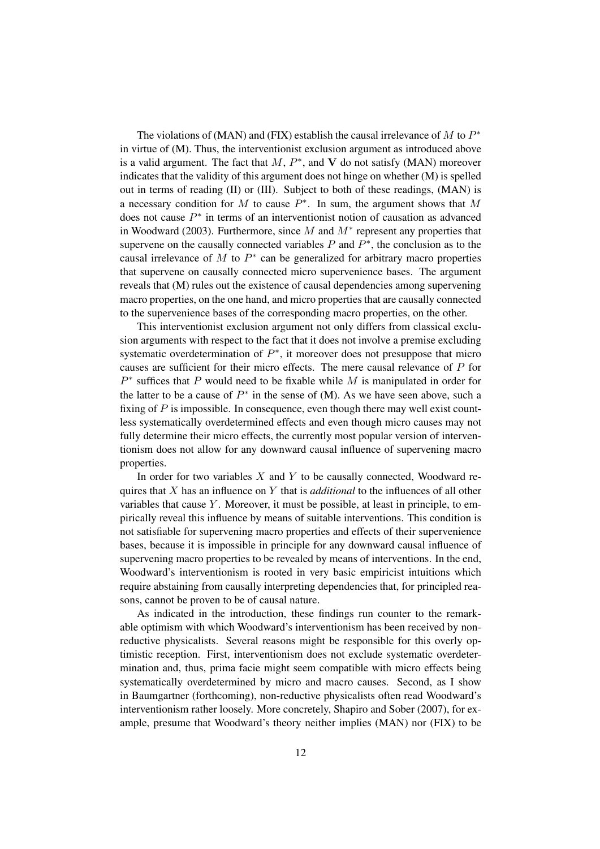The violations of (MAN) and (FIX) establish the causal irrelevance of M to  $P^*$ in virtue of (M). Thus, the interventionist exclusion argument as introduced above is a valid argument. The fact that  $M$ ,  $P^*$ , and V do not satisfy (MAN) moreover indicates that the validity of this argument does not hinge on whether (M) is spelled out in terms of reading (II) or (III). Subject to both of these readings, (MAN) is a necessary condition for M to cause  $P^*$ . In sum, the argument shows that M does not cause  $P^*$  in terms of an interventionist notion of causation as advanced in Woodward (2003). Furthermore, since  $M$  and  $M^*$  represent any properties that supervene on the causally connected variables  $P$  and  $P^*$ , the conclusion as to the causal irrelevance of  $M$  to  $P^*$  can be generalized for arbitrary macro properties that supervene on causally connected micro supervenience bases. The argument reveals that (M) rules out the existence of causal dependencies among supervening macro properties, on the one hand, and micro properties that are causally connected to the supervenience bases of the corresponding macro properties, on the other.

This interventionist exclusion argument not only differs from classical exclusion arguments with respect to the fact that it does not involve a premise excluding systematic overdetermination of  $P^*$ , it moreover does not presuppose that micro causes are sufficient for their micro effects. The mere causal relevance of P for  $P^*$  suffices that P would need to be fixable while M is manipulated in order for the latter to be a cause of  $P^*$  in the sense of (M). As we have seen above, such a fixing of  $P$  is impossible. In consequence, even though there may well exist countless systematically overdetermined effects and even though micro causes may not fully determine their micro effects, the currently most popular version of interventionism does not allow for any downward causal influence of supervening macro properties.

In order for two variables  $X$  and  $Y$  to be causally connected, Woodward requires that X has an influence on Y that is *additional* to the influences of all other variables that cause  $Y$ . Moreover, it must be possible, at least in principle, to empirically reveal this influence by means of suitable interventions. This condition is not satisfiable for supervening macro properties and effects of their supervenience bases, because it is impossible in principle for any downward causal influence of supervening macro properties to be revealed by means of interventions. In the end, Woodward's interventionism is rooted in very basic empiricist intuitions which require abstaining from causally interpreting dependencies that, for principled reasons, cannot be proven to be of causal nature.

As indicated in the introduction, these findings run counter to the remarkable optimism with which Woodward's interventionism has been received by nonreductive physicalists. Several reasons might be responsible for this overly optimistic reception. First, interventionism does not exclude systematic overdetermination and, thus, prima facie might seem compatible with micro effects being systematically overdetermined by micro and macro causes. Second, as I show in Baumgartner (forthcoming), non-reductive physicalists often read Woodward's interventionism rather loosely. More concretely, Shapiro and Sober (2007), for example, presume that Woodward's theory neither implies (MAN) nor (FIX) to be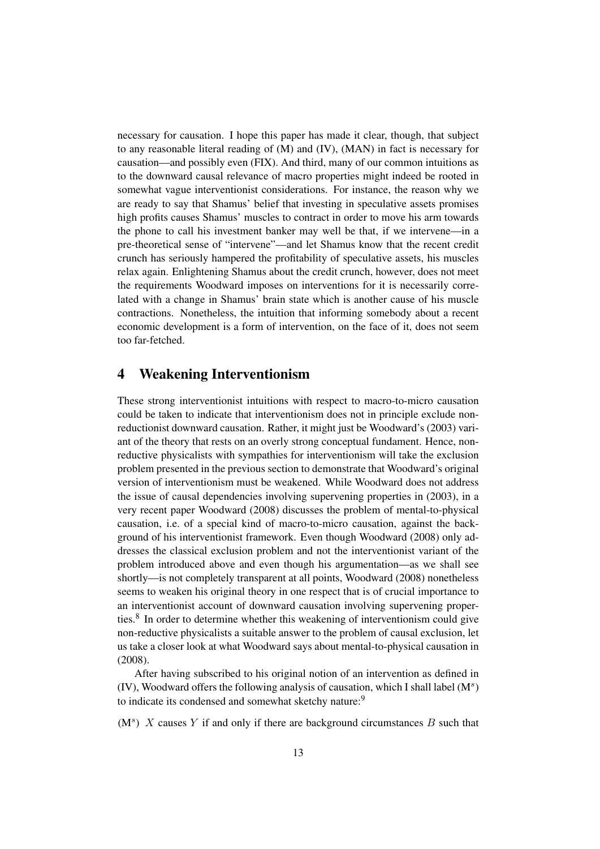necessary for causation. I hope this paper has made it clear, though, that subject to any reasonable literal reading of (M) and (IV), (MAN) in fact is necessary for causation—and possibly even (FIX). And third, many of our common intuitions as to the downward causal relevance of macro properties might indeed be rooted in somewhat vague interventionist considerations. For instance, the reason why we are ready to say that Shamus' belief that investing in speculative assets promises high profits causes Shamus' muscles to contract in order to move his arm towards the phone to call his investment banker may well be that, if we intervene—in a pre-theoretical sense of "intervene"—and let Shamus know that the recent credit crunch has seriously hampered the profitability of speculative assets, his muscles relax again. Enlightening Shamus about the credit crunch, however, does not meet the requirements Woodward imposes on interventions for it is necessarily correlated with a change in Shamus' brain state which is another cause of his muscle contractions. Nonetheless, the intuition that informing somebody about a recent economic development is a form of intervention, on the face of it, does not seem too far-fetched.

#### 4 Weakening Interventionism

These strong interventionist intuitions with respect to macro-to-micro causation could be taken to indicate that interventionism does not in principle exclude nonreductionist downward causation. Rather, it might just be Woodward's (2003) variant of the theory that rests on an overly strong conceptual fundament. Hence, nonreductive physicalists with sympathies for interventionism will take the exclusion problem presented in the previous section to demonstrate that Woodward's original version of interventionism must be weakened. While Woodward does not address the issue of causal dependencies involving supervening properties in (2003), in a very recent paper Woodward (2008) discusses the problem of mental-to-physical causation, i.e. of a special kind of macro-to-micro causation, against the background of his interventionist framework. Even though Woodward (2008) only addresses the classical exclusion problem and not the interventionist variant of the problem introduced above and even though his argumentation—as we shall see shortly—is not completely transparent at all points, Woodward (2008) nonetheless seems to weaken his original theory in one respect that is of crucial importance to an interventionist account of downward causation involving supervening properties.<sup>8</sup> In order to determine whether this weakening of interventionism could give non-reductive physicalists a suitable answer to the problem of causal exclusion, let us take a closer look at what Woodward says about mental-to-physical causation in (2008).

After having subscribed to his original notion of an intervention as defined in (IV), Woodward offers the following analysis of causation, which I shall label  $(M^s)$ to indicate its condensed and somewhat sketchy nature:<sup>9</sup>

 $(M^s)$  X causes Y if and only if there are background circumstances B such that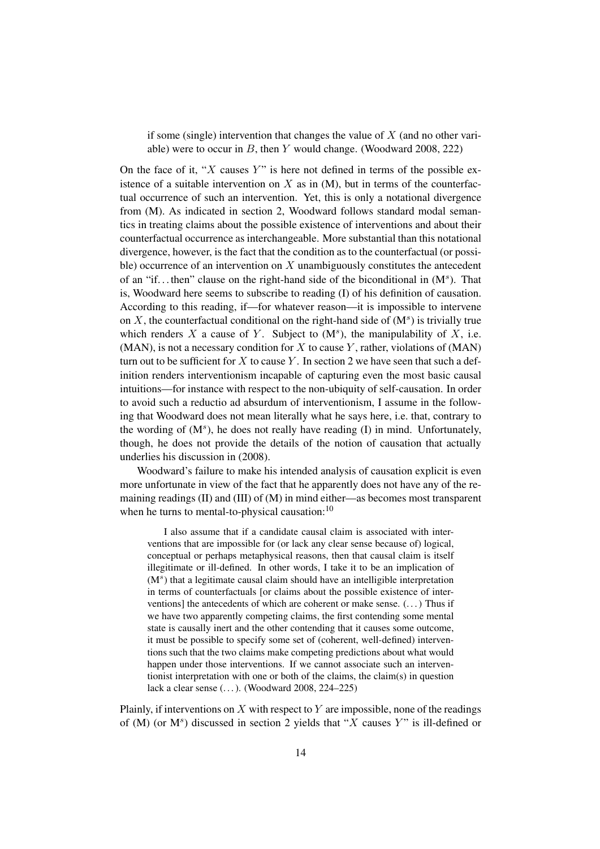if some (single) intervention that changes the value of  $X$  (and no other variable) were to occur in  $B$ , then  $Y$  would change. (Woodward 2008, 222)

On the face of it, " $X$  causes  $Y$ " is here not defined in terms of the possible existence of a suitable intervention on  $X$  as in  $(M)$ , but in terms of the counterfactual occurrence of such an intervention. Yet, this is only a notational divergence from (M). As indicated in section 2, Woodward follows standard modal semantics in treating claims about the possible existence of interventions and about their counterfactual occurrence as interchangeable. More substantial than this notational divergence, however, is the fact that the condition as to the counterfactual (or possible) occurrence of an intervention on  $X$  unambiguously constitutes the antecedent of an "if...then" clause on the right-hand side of the biconditional in  $(M^s)$ . That is, Woodward here seems to subscribe to reading (I) of his definition of causation. According to this reading, if—for whatever reason—it is impossible to intervene on  $X$ , the counterfactual conditional on the right-hand side of  $(M^s)$  is trivially true which renders X a cause of Y. Subject to  $(M^s)$ , the manipulability of X, i.e. (MAN), is not a necessary condition for X to cause Y, rather, violations of  $(MAN)$ turn out to be sufficient for X to cause Y. In section 2 we have seen that such a definition renders interventionism incapable of capturing even the most basic causal intuitions—for instance with respect to the non-ubiquity of self-causation. In order to avoid such a reductio ad absurdum of interventionism, I assume in the following that Woodward does not mean literally what he says here, i.e. that, contrary to the wording of  $(M^s)$ , he does not really have reading  $(I)$  in mind. Unfortunately, though, he does not provide the details of the notion of causation that actually underlies his discussion in (2008).

Woodward's failure to make his intended analysis of causation explicit is even more unfortunate in view of the fact that he apparently does not have any of the remaining readings (II) and (III) of (M) in mind either—as becomes most transparent when he turns to mental-to-physical causation:<sup>10</sup>

I also assume that if a candidate causal claim is associated with interventions that are impossible for (or lack any clear sense because of) logical, conceptual or perhaps metaphysical reasons, then that causal claim is itself illegitimate or ill-defined. In other words, I take it to be an implication of (M<sup>s</sup>) that a legitimate causal claim should have an intelligible interpretation in terms of counterfactuals [or claims about the possible existence of interventions] the antecedents of which are coherent or make sense. (. . . ) Thus if we have two apparently competing claims, the first contending some mental state is causally inert and the other contending that it causes some outcome, it must be possible to specify some set of (coherent, well-defined) interventions such that the two claims make competing predictions about what would happen under those interventions. If we cannot associate such an interventionist interpretation with one or both of the claims, the claim(s) in question lack a clear sense (...). (Woodward 2008, 224-225)

Plainly, if interventions on  $X$  with respect to  $Y$  are impossible, none of the readings of (M) (or  $M^s$ ) discussed in section 2 yields that "X causes Y" is ill-defined or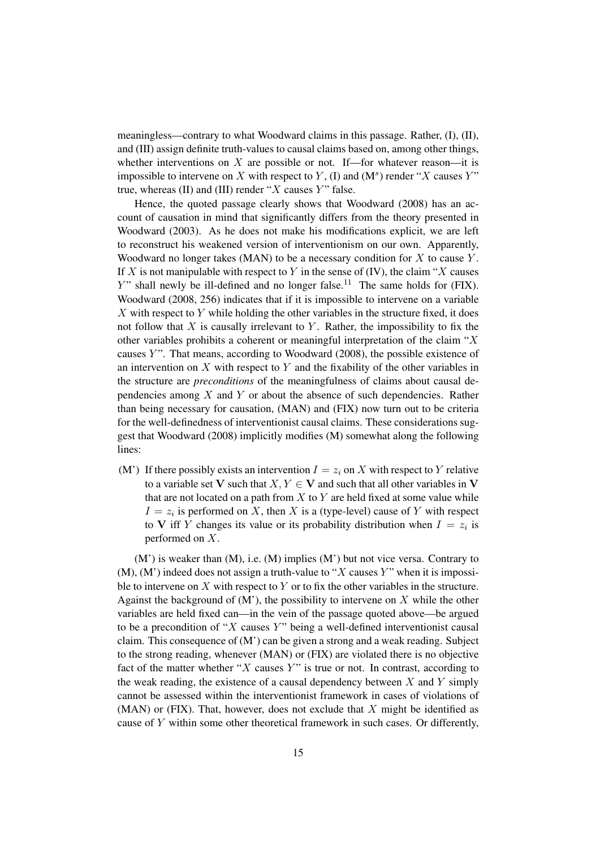meaningless—contrary to what Woodward claims in this passage. Rather, (I), (II), and (III) assign definite truth-values to causal claims based on, among other things, whether interventions on  $X$  are possible or not. If—for whatever reason—it is impossible to intervene on X with respect to Y, (I) and  $(M^s)$  render "X causes Y" true, whereas (II) and (III) render " $X$  causes  $Y$ " false.

Hence, the quoted passage clearly shows that Woodward (2008) has an account of causation in mind that significantly differs from the theory presented in Woodward (2003). As he does not make his modifications explicit, we are left to reconstruct his weakened version of interventionism on our own. Apparently, Woodward no longer takes (MAN) to be a necessary condition for  $X$  to cause  $Y$ . If X is not manipulable with respect to Y in the sense of  $(IV)$ , the claim "X causes  $Y$ " shall newly be ill-defined and no longer false.<sup>11</sup> The same holds for (FIX). Woodward (2008, 256) indicates that if it is impossible to intervene on a variable  $X$  with respect to  $Y$  while holding the other variables in the structure fixed, it does not follow that  $X$  is causally irrelevant to  $Y$ . Rather, the impossibility to fix the other variables prohibits a coherent or meaningful interpretation of the claim " $X$ causes  $Y$ ". That means, according to Woodward (2008), the possible existence of an intervention on  $X$  with respect to  $Y$  and the fixability of the other variables in the structure are *preconditions* of the meaningfulness of claims about causal dependencies among  $X$  and  $Y$  or about the absence of such dependencies. Rather than being necessary for causation, (MAN) and (FIX) now turn out to be criteria for the well-definedness of interventionist causal claims. These considerations suggest that Woodward (2008) implicitly modifies (M) somewhat along the following lines:

(M') If there possibly exists an intervention  $I = z_i$  on X with respect to Y relative to a variable set V such that  $X, Y \in V$  and such that all other variables in V that are not located on a path from  $X$  to  $Y$  are held fixed at some value while  $I = z_i$  is performed on X, then X is a (type-level) cause of Y with respect to V iff Y changes its value or its probability distribution when  $I = z_i$  is performed on X.

(M') is weaker than (M), i.e. (M) implies (M') but not vice versa. Contrary to  $(M)$ ,  $(M')$  indeed does not assign a truth-value to "X causes Y" when it is impossible to intervene on  $X$  with respect to  $Y$  or to fix the other variables in the structure. Against the background of  $(M')$ , the possibility to intervene on X while the other variables are held fixed can—in the vein of the passage quoted above—be argued to be a precondition of "X causes Y" being a well-defined interventionist causal claim. This consequence of  $(M')$  can be given a strong and a weak reading. Subject to the strong reading, whenever (MAN) or (FIX) are violated there is no objective fact of the matter whether " $X$  causes  $Y$ " is true or not. In contrast, according to the weak reading, the existence of a causal dependency between  $X$  and  $Y$  simply cannot be assessed within the interventionist framework in cases of violations of  $(MAN)$  or (FIX). That, however, does not exclude that  $X$  might be identified as cause of Y within some other theoretical framework in such cases. Or differently,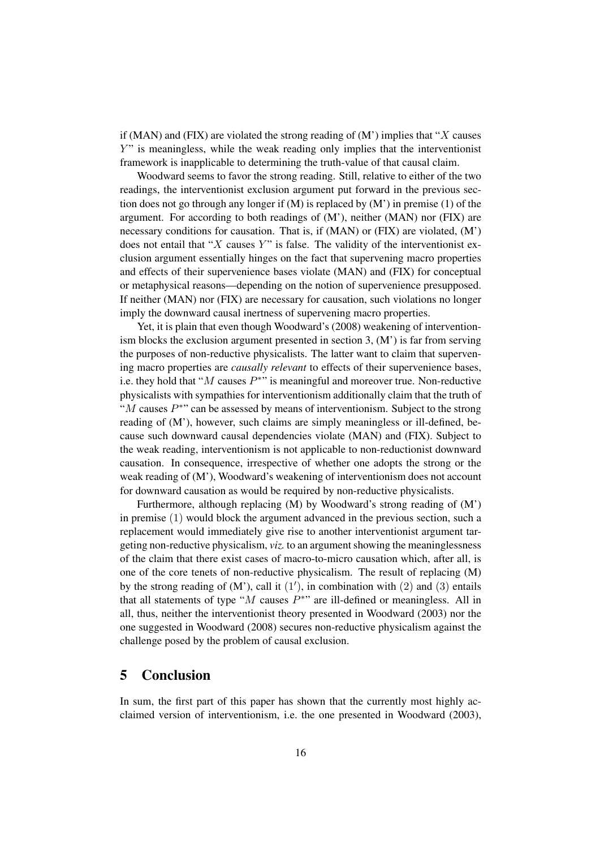if (MAN) and (FIX) are violated the strong reading of  $(M')$  implies that "X causes Y" is meaningless, while the weak reading only implies that the interventionist framework is inapplicable to determining the truth-value of that causal claim.

Woodward seems to favor the strong reading. Still, relative to either of the two readings, the interventionist exclusion argument put forward in the previous section does not go through any longer if  $(M)$  is replaced by  $(M')$  in premise  $(1)$  of the argument. For according to both readings of  $(M')$ , neither  $(MAN)$  nor  $(FIX)$  are necessary conditions for causation. That is, if (MAN) or (FIX) are violated, (M') does not entail that "X causes Y" is false. The validity of the interventionist exclusion argument essentially hinges on the fact that supervening macro properties and effects of their supervenience bases violate (MAN) and (FIX) for conceptual or metaphysical reasons—depending on the notion of supervenience presupposed. If neither (MAN) nor (FIX) are necessary for causation, such violations no longer imply the downward causal inertness of supervening macro properties.

Yet, it is plain that even though Woodward's (2008) weakening of interventionism blocks the exclusion argument presented in section 3, (M') is far from serving the purposes of non-reductive physicalists. The latter want to claim that supervening macro properties are *causally relevant* to effects of their supervenience bases, i.e. they hold that " $M$  causes  $P^*$ " is meaningful and moreover true. Non-reductive physicalists with sympathies for interventionism additionally claim that the truth of " $M$  causes  $P^*$ " can be assessed by means of interventionism. Subject to the strong reading of (M'), however, such claims are simply meaningless or ill-defined, because such downward causal dependencies violate (MAN) and (FIX). Subject to the weak reading, interventionism is not applicable to non-reductionist downward causation. In consequence, irrespective of whether one adopts the strong or the weak reading of (M'), Woodward's weakening of interventionism does not account for downward causation as would be required by non-reductive physicalists.

Furthermore, although replacing (M) by Woodward's strong reading of (M') in premise (1) would block the argument advanced in the previous section, such a replacement would immediately give rise to another interventionist argument targeting non-reductive physicalism, *viz.* to an argument showing the meaninglessness of the claim that there exist cases of macro-to-micro causation which, after all, is one of the core tenets of non-reductive physicalism. The result of replacing (M) by the strong reading of  $(M')$ , call it  $(1')$ , in combination with  $(2)$  and  $(3)$  entails that all statements of type " $M$  causes  $P^*$ " are ill-defined or meaningless. All in all, thus, neither the interventionist theory presented in Woodward (2003) nor the one suggested in Woodward (2008) secures non-reductive physicalism against the challenge posed by the problem of causal exclusion.

#### 5 Conclusion

In sum, the first part of this paper has shown that the currently most highly acclaimed version of interventionism, i.e. the one presented in Woodward (2003),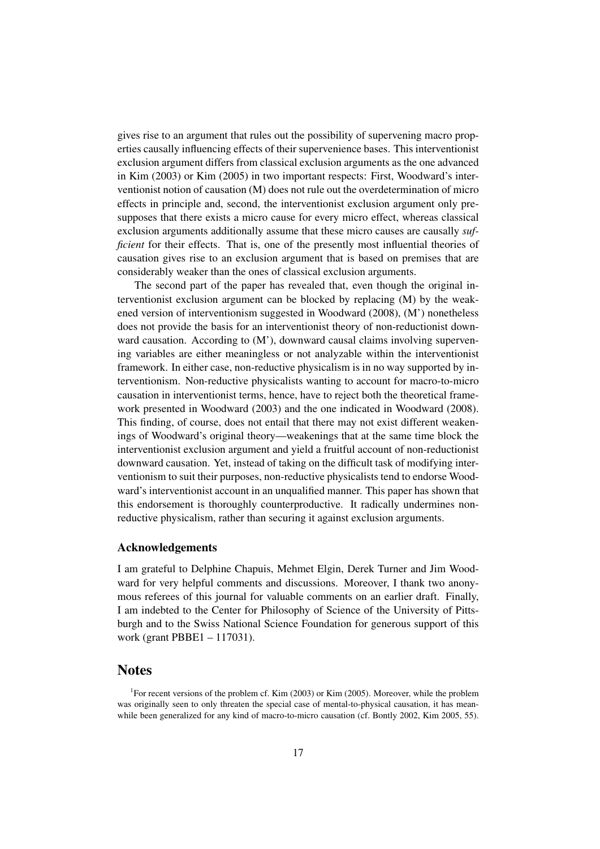gives rise to an argument that rules out the possibility of supervening macro properties causally influencing effects of their supervenience bases. This interventionist exclusion argument differs from classical exclusion arguments as the one advanced in Kim (2003) or Kim (2005) in two important respects: First, Woodward's interventionist notion of causation (M) does not rule out the overdetermination of micro effects in principle and, second, the interventionist exclusion argument only presupposes that there exists a micro cause for every micro effect, whereas classical exclusion arguments additionally assume that these micro causes are causally *sufficient* for their effects. That is, one of the presently most influential theories of causation gives rise to an exclusion argument that is based on premises that are considerably weaker than the ones of classical exclusion arguments.

The second part of the paper has revealed that, even though the original interventionist exclusion argument can be blocked by replacing (M) by the weakened version of interventionism suggested in Woodward (2008), (M') nonetheless does not provide the basis for an interventionist theory of non-reductionist downward causation. According to (M'), downward causal claims involving supervening variables are either meaningless or not analyzable within the interventionist framework. In either case, non-reductive physicalism is in no way supported by interventionism. Non-reductive physicalists wanting to account for macro-to-micro causation in interventionist terms, hence, have to reject both the theoretical framework presented in Woodward (2003) and the one indicated in Woodward (2008). This finding, of course, does not entail that there may not exist different weakenings of Woodward's original theory—weakenings that at the same time block the interventionist exclusion argument and yield a fruitful account of non-reductionist downward causation. Yet, instead of taking on the difficult task of modifying interventionism to suit their purposes, non-reductive physicalists tend to endorse Woodward's interventionist account in an unqualified manner. This paper has shown that this endorsement is thoroughly counterproductive. It radically undermines nonreductive physicalism, rather than securing it against exclusion arguments.

#### Acknowledgements

I am grateful to Delphine Chapuis, Mehmet Elgin, Derek Turner and Jim Woodward for very helpful comments and discussions. Moreover, I thank two anonymous referees of this journal for valuable comments on an earlier draft. Finally, I am indebted to the Center for Philosophy of Science of the University of Pittsburgh and to the Swiss National Science Foundation for generous support of this work (grant PBBE1 – 117031).

#### Notes

<sup>1</sup>For recent versions of the problem cf. Kim (2003) or Kim (2005). Moreover, while the problem was originally seen to only threaten the special case of mental-to-physical causation, it has meanwhile been generalized for any kind of macro-to-micro causation (cf. Bontly 2002, Kim 2005, 55).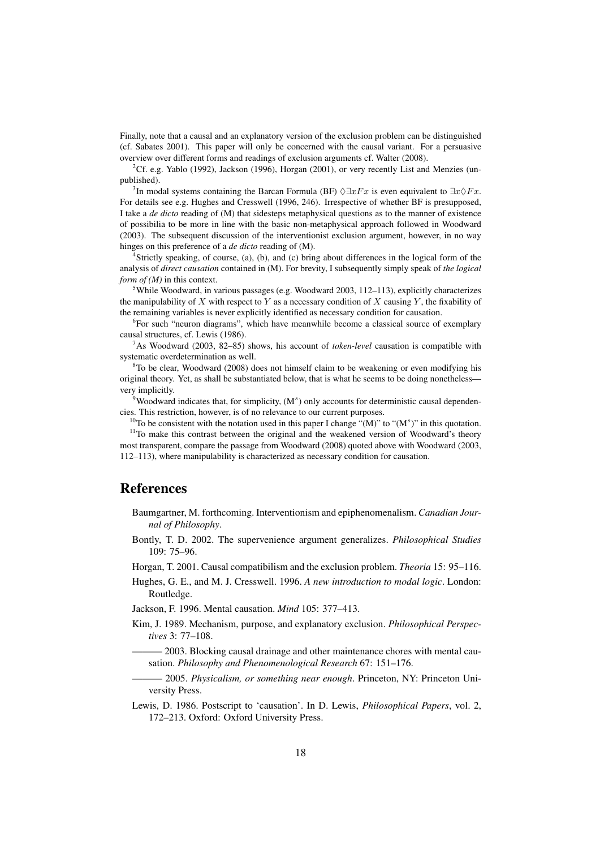Finally, note that a causal and an explanatory version of the exclusion problem can be distinguished (cf. Sabates 2001). This paper will only be concerned with the causal variant. For a persuasive overview over different forms and readings of exclusion arguments cf. Walter (2008).

<sup>2</sup>Cf. e.g. Yablo (1992), Jackson (1996), Horgan (2001), or very recently List and Menzies (unpublished).

<sup>3</sup>In modal systems containing the Barcan Formula (BF)  $\Diamond \exists xFx$  is even equivalent to  $\exists x \Diamond Fx$ . For details see e.g. Hughes and Cresswell (1996, 246). Irrespective of whether BF is presupposed, I take a *de dicto* reading of (M) that sidesteps metaphysical questions as to the manner of existence of possibilia to be more in line with the basic non-metaphysical approach followed in Woodward (2003). The subsequent discussion of the interventionist exclusion argument, however, in no way hinges on this preference of a *de dicto* reading of (M).

<sup>4</sup>Strictly speaking, of course, (a), (b), and (c) bring about differences in the logical form of the analysis of *direct causation* contained in (M). For brevity, I subsequently simply speak of *the logical form of (M)* in this context.

<sup>5</sup>While Woodward, in various passages (e.g. Woodward 2003, 112–113), explicitly characterizes the manipulability of X with respect to Y as a necessary condition of X causing Y, the fixability of the remaining variables is never explicitly identified as necessary condition for causation.

<sup>6</sup>For such "neuron diagrams", which have meanwhile become a classical source of exemplary causal structures, cf. Lewis (1986).

<sup>7</sup>As Woodward (2003, 82–85) shows, his account of *token-level* causation is compatible with systematic overdetermination as well.

<sup>8</sup>To be clear, Woodward (2008) does not himself claim to be weakening or even modifying his original theory. Yet, as shall be substantiated below, that is what he seems to be doing nonetheless very implicitly.

 $9$ Woodward indicates that, for simplicity,  $(M^s)$  only accounts for deterministic causal dependencies. This restriction, however, is of no relevance to our current purposes.

<sup>10</sup>To be consistent with the notation used in this paper I change "(M)" to "(M<sup>s</sup>)" in this quotation.

<sup>11</sup>To make this contrast between the original and the weakened version of Woodward's theory most transparent, compare the passage from Woodward (2008) quoted above with Woodward (2003, 112–113), where manipulability is characterized as necessary condition for causation.

#### References

- Baumgartner, M. forthcoming. Interventionism and epiphenomenalism. *Canadian Journal of Philosophy*.
- Bontly, T. D. 2002. The supervenience argument generalizes. *Philosophical Studies* 109: 75–96.
- Horgan, T. 2001. Causal compatibilism and the exclusion problem. *Theoria* 15: 95–116.
- Hughes, G. E., and M. J. Cresswell. 1996. *A new introduction to modal logic*. London: Routledge.

Jackson, F. 1996. Mental causation. *Mind* 105: 377–413.

- Kim, J. 1989. Mechanism, purpose, and explanatory exclusion. *Philosophical Perspectives* 3: 77–108.
	- ——— 2003. Blocking causal drainage and other maintenance chores with mental causation. *Philosophy and Phenomenological Research* 67: 151–176.
- ——— 2005. *Physicalism, or something near enough*. Princeton, NY: Princeton University Press.
- Lewis, D. 1986. Postscript to 'causation'. In D. Lewis, *Philosophical Papers*, vol. 2, 172–213. Oxford: Oxford University Press.